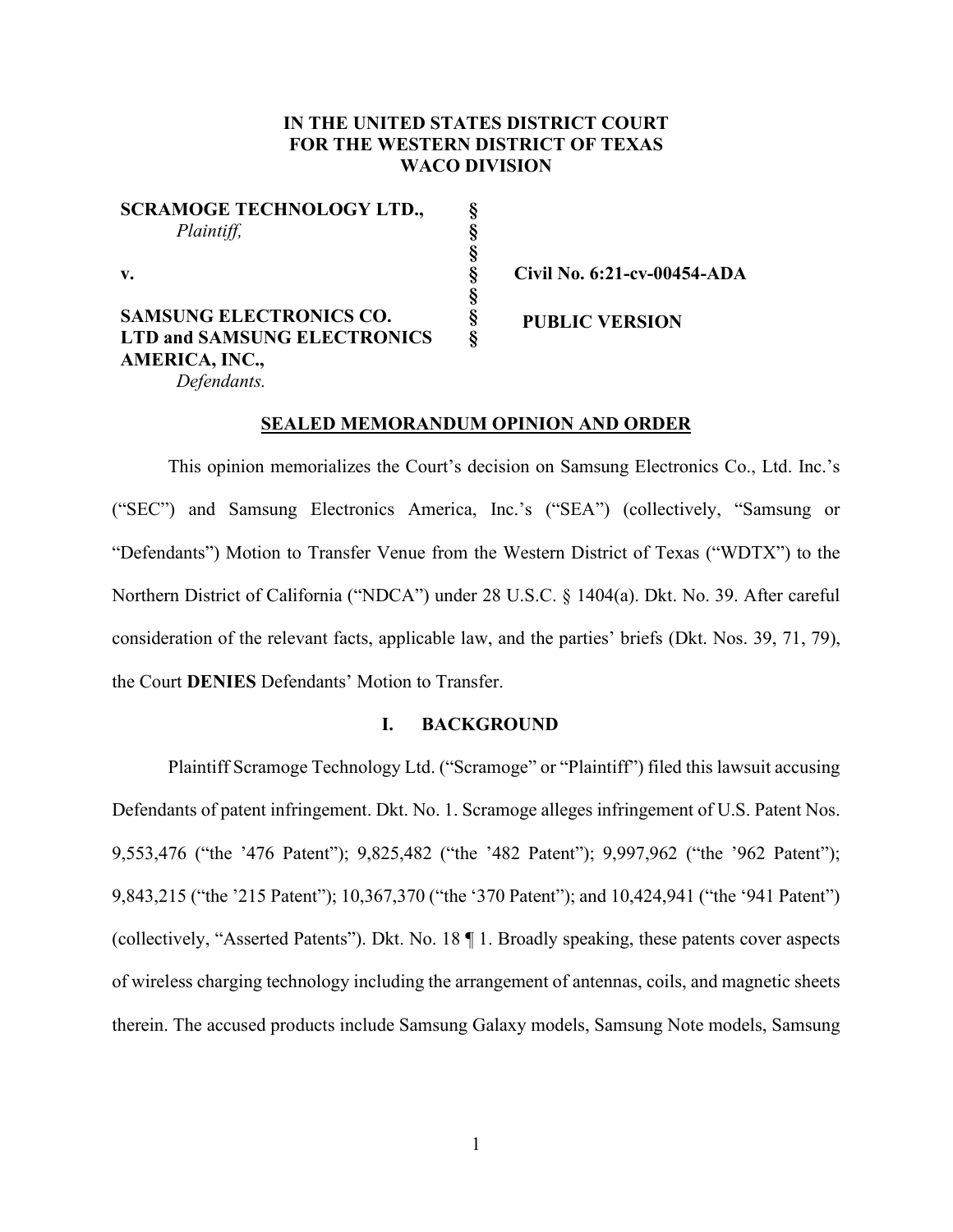## **IN THE UNITED STATES DISTRICT COURT FOR THE WESTERN DISTRICT OF TEXAS WACO DIVISION**

**§ § § § § § §** 

**SCRAMOGE TECHNOLOGY LTD.,** *Plaintiff,*

**v.** 

**SAMSUNG ELECTRONICS CO. LTD and SAMSUNG ELECTRONICS AMERICA, INC.,**  *Defendants.*

**Civil No. 6:21-cv-00454-ADA**

**PUBLIC VERSION**

### **SEALED MEMORANDUM OPINION AND ORDER**

This opinion memorializes the Court's decision on Samsung Electronics Co., Ltd. Inc.'s ("SEC") and Samsung Electronics America, Inc.'s ("SEA") (collectively, "Samsung or "Defendants") Motion to Transfer Venue from the Western District of Texas ("WDTX") to the Northern District of California ("NDCA") under 28 U.S.C. § 1404(a). Dkt. No. 39. After careful consideration of the relevant facts, applicable law, and the parties' briefs (Dkt. Nos. 39, 71, 79), the Court **DENIES** Defendants' Motion to Transfer.

### **I. BACKGROUND**

Plaintiff Scramoge Technology Ltd. ("Scramoge" or "Plaintiff") filed this lawsuit accusing Defendants of patent infringement. Dkt. No. 1. Scramoge alleges infringement of U.S. Patent Nos. 9,553,476 ("the '476 Patent"); 9,825,482 ("the '482 Patent"); 9,997,962 ("the '962 Patent"); 9,843,215 ("the '215 Patent"); 10,367,370 ("the '370 Patent"); and 10,424,941 ("the '941 Patent") (collectively, "Asserted Patents"). Dkt. No. 18 ¶ 1. Broadly speaking, these patents cover aspects of wireless charging technology including the arrangement of antennas, coils, and magnetic sheets therein. The accused products include Samsung Galaxy models, Samsung Note models, Samsung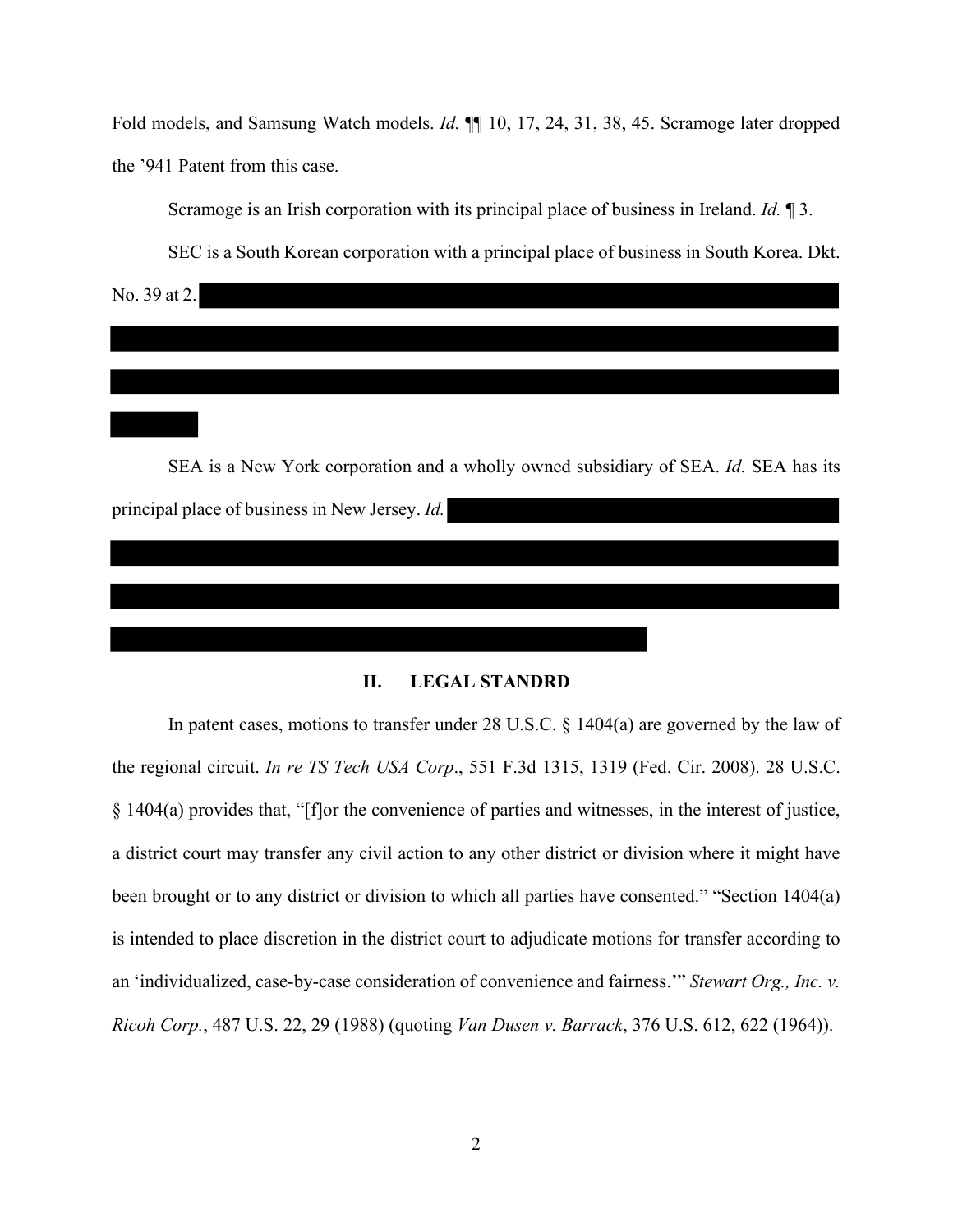Fold models, and Samsung Watch models. *Id.* ¶¶ 10, 17, 24, 31, 38, 45. Scramoge later dropped the '941 Patent from this case.

Scramoge is an Irish corporation with its principal place of business in Ireland. *Id.* ¶ 3.

SEC is a South Korean corporation with a principal place of business in South Korea. Dkt.

No. 39 at 2.

SEA is a New York corporation and a wholly owned subsidiary of SEA. *Id.* SEA has its principal place of business in New Jersey. *Id.* 

### **II. LEGAL STANDRD**

In patent cases, motions to transfer under 28 U.S.C. § 1404(a) are governed by the law of the regional circuit. *In re TS Tech USA Corp*., 551 F.3d 1315, 1319 (Fed. Cir. 2008). 28 U.S.C. § 1404(a) provides that, "[f]or the convenience of parties and witnesses, in the interest of justice, a district court may transfer any civil action to any other district or division where it might have been brought or to any district or division to which all parties have consented." "Section 1404(a) is intended to place discretion in the district court to adjudicate motions for transfer according to an 'individualized, case-by-case consideration of convenience and fairness.'" *Stewart Org., Inc. v. Ricoh Corp.*, 487 U.S. 22, 29 (1988) (quoting *Van Dusen v. Barrack*, 376 U.S. 612, 622 (1964)).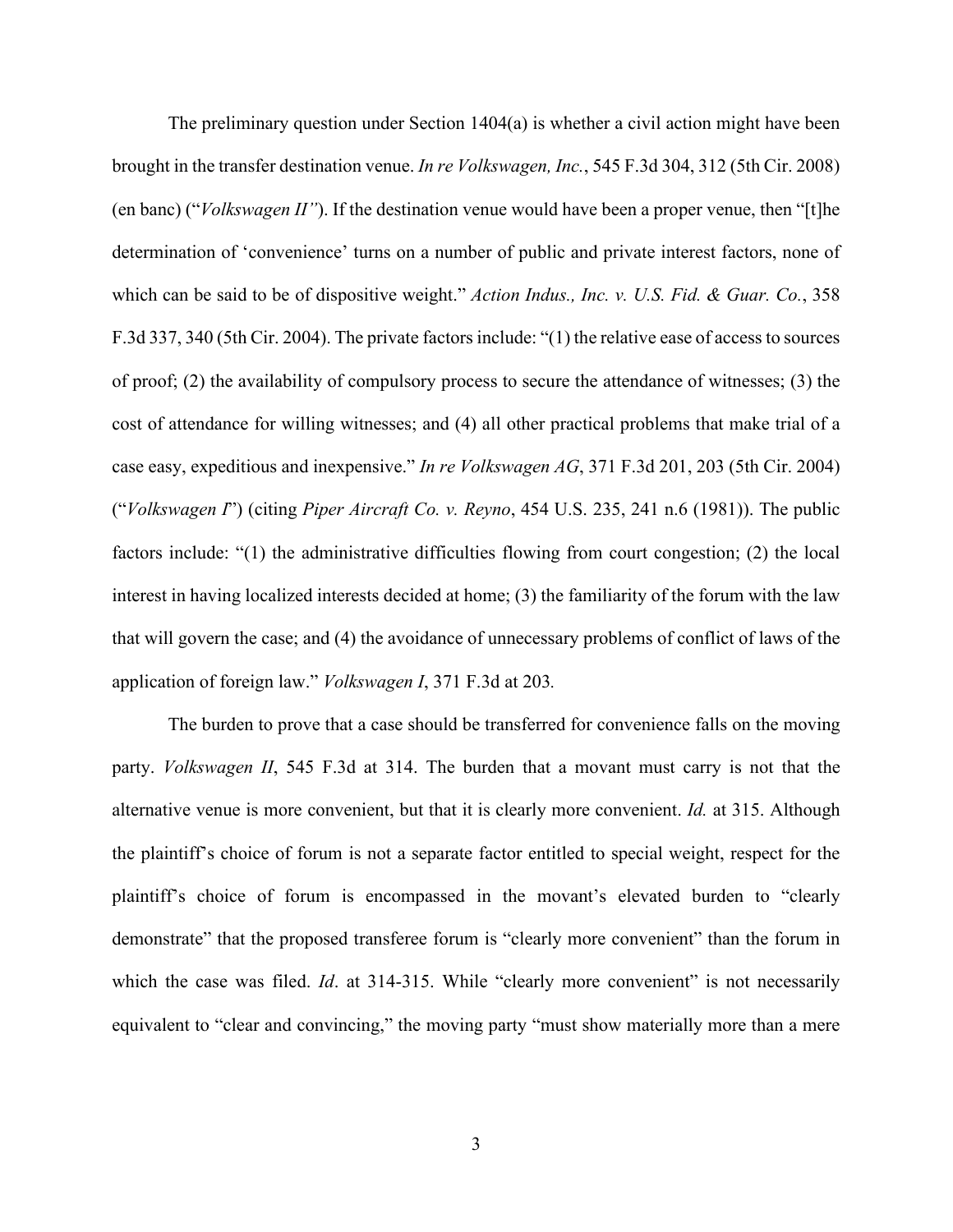The preliminary question under Section 1404(a) is whether a civil action might have been brought in the transfer destination venue. *In re Volkswagen, Inc.*, 545 F.3d 304, 312 (5th Cir. 2008) (en banc) ("*Volkswagen II"*). If the destination venue would have been a proper venue, then "[t]he determination of 'convenience' turns on a number of public and private interest factors, none of which can be said to be of dispositive weight." *Action Indus., Inc. v. U.S. Fid. & Guar. Co.*, 358 F.3d 337, 340 (5th Cir. 2004). The private factors include: "(1) the relative ease of access to sources of proof; (2) the availability of compulsory process to secure the attendance of witnesses; (3) the cost of attendance for willing witnesses; and (4) all other practical problems that make trial of a case easy, expeditious and inexpensive." *In re Volkswagen AG*, 371 F.3d 201, 203 (5th Cir. 2004) ("*Volkswagen I*") (citing *Piper Aircraft Co. v. Reyno*, 454 U.S. 235, 241 n.6 (1981)). The public factors include: "(1) the administrative difficulties flowing from court congestion; (2) the local interest in having localized interests decided at home; (3) the familiarity of the forum with the law that will govern the case; and (4) the avoidance of unnecessary problems of conflict of laws of the application of foreign law." *Volkswagen I*, 371 F.3d at 203*.*

The burden to prove that a case should be transferred for convenience falls on the moving party. *Volkswagen II*, 545 F.3d at 314. The burden that a movant must carry is not that the alternative venue is more convenient, but that it is clearly more convenient. *Id.* at 315. Although the plaintiff's choice of forum is not a separate factor entitled to special weight, respect for the plaintiff's choice of forum is encompassed in the movant's elevated burden to "clearly demonstrate" that the proposed transferee forum is "clearly more convenient" than the forum in which the case was filed. *Id.* at 314-315. While "clearly more convenient" is not necessarily equivalent to "clear and convincing," the moving party "must show materially more than a mere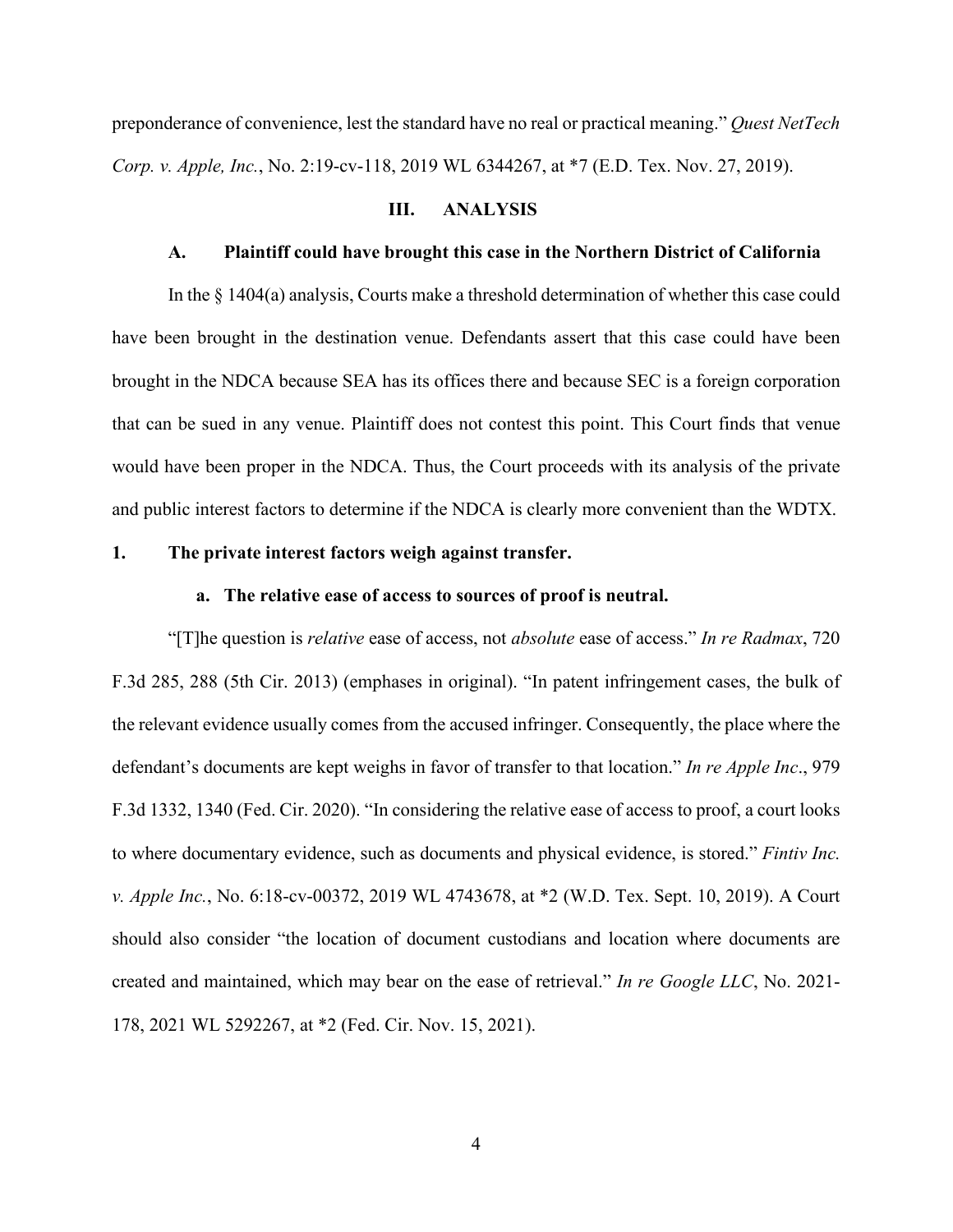preponderance of convenience, lest the standard have no real or practical meaning." *Quest NetTech Corp. v. Apple, Inc.*, No. 2:19-cv-118, 2019 WL 6344267, at \*7 (E.D. Tex. Nov. 27, 2019).

### **III. ANALYSIS**

## **A. Plaintiff could have brought this case in the Northern District of California**

In the § 1404(a) analysis, Courts make a threshold determination of whether this case could have been brought in the destination venue. Defendants assert that this case could have been brought in the NDCA because SEA has its offices there and because SEC is a foreign corporation that can be sued in any venue. Plaintiff does not contest this point. This Court finds that venue would have been proper in the NDCA. Thus, the Court proceeds with its analysis of the private and public interest factors to determine if the NDCA is clearly more convenient than the WDTX.

### **1. The private interest factors weigh against transfer.**

### **a. The relative ease of access to sources of proof is neutral.**

"[T]he question is *relative* ease of access, not *absolute* ease of access." *In re Radmax*, 720 F.3d 285, 288 (5th Cir. 2013) (emphases in original). "In patent infringement cases, the bulk of the relevant evidence usually comes from the accused infringer. Consequently, the place where the defendant's documents are kept weighs in favor of transfer to that location." *In re Apple Inc*., 979 F.3d 1332, 1340 (Fed. Cir. 2020). "In considering the relative ease of access to proof, a court looks to where documentary evidence, such as documents and physical evidence, is stored." *Fintiv Inc. v. Apple Inc.*, No. 6:18-cv-00372, 2019 WL 4743678, at \*2 (W.D. Tex. Sept. 10, 2019). A Court should also consider "the location of document custodians and location where documents are created and maintained, which may bear on the ease of retrieval." *In re Google LLC*, No. 2021- 178, 2021 WL 5292267, at \*2 (Fed. Cir. Nov. 15, 2021).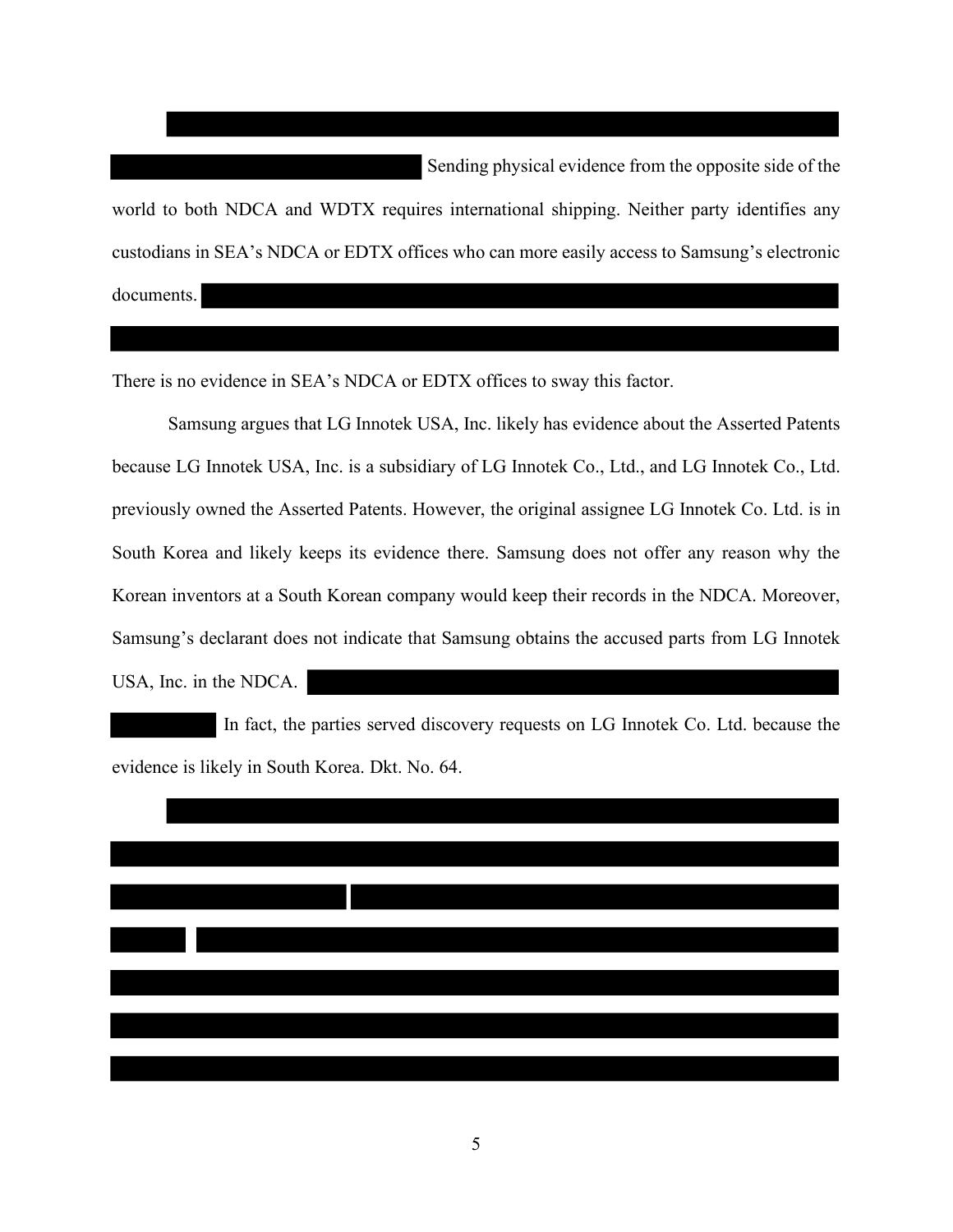Sending physical evidence from the opposite side of the world to both NDCA and WDTX requires international shipping. Neither party identifies any custodians in SEA's NDCA or EDTX offices who can more easily access to Samsung's electronic documents.

There is no evidence in SEA's NDCA or EDTX offices to sway this factor.

Samsung argues that LG Innotek USA, Inc. likely has evidence about the Asserted Patents because LG Innotek USA, Inc. is a subsidiary of LG Innotek Co., Ltd., and LG Innotek Co., Ltd. previously owned the Asserted Patents. However, the original assignee LG Innotek Co. Ltd. is in South Korea and likely keeps its evidence there. Samsung does not offer any reason why the Korean inventors at a South Korean company would keep their records in the NDCA. Moreover, Samsung's declarant does not indicate that Samsung obtains the accused parts from LG Innotek USA, Inc. in the NDCA.

In fact, the parties served discovery requests on LG Innotek Co. Ltd. because the evidence is likely in South Korea. Dkt. No. 64.



5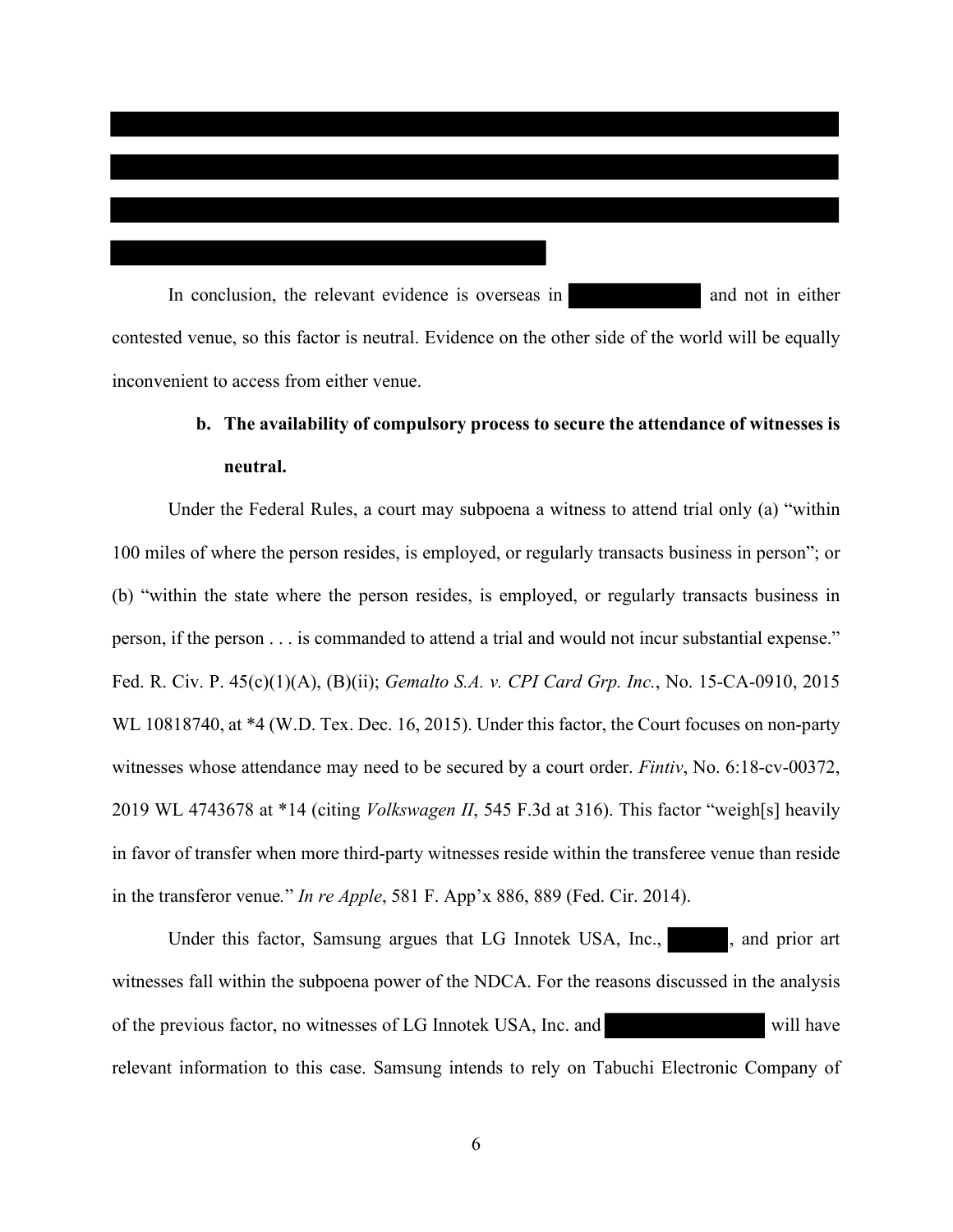In conclusion, the relevant evidence is overseas in and not in either contested venue, so this factor is neutral. Evidence on the other side of the world will be equally inconvenient to access from either venue.

# **b. The availability of compulsory process to secure the attendance of witnesses is neutral.**

Under the Federal Rules, a court may subpoena a witness to attend trial only (a) "within 100 miles of where the person resides, is employed, or regularly transacts business in person"; or (b) "within the state where the person resides, is employed, or regularly transacts business in person, if the person . . . is commanded to attend a trial and would not incur substantial expense." Fed. R. Civ. P. 45(c)(1)(A), (B)(ii); *Gemalto S.A. v. CPI Card Grp. Inc.*, No. 15-CA-0910, 2015 WL 10818740, at  $*4$  (W.D. Tex. Dec. 16, 2015). Under this factor, the Court focuses on non-party witnesses whose attendance may need to be secured by a court order. *Fintiv*, No. 6:18-cv-00372, 2019 WL 4743678 at \*14 (citing *Volkswagen II*, 545 F.3d at 316). This factor "weigh[s] heavily in favor of transfer when more third-party witnesses reside within the transferee venue than reside in the transferor venue*.*" *In re Apple*, 581 F. App'x 886, 889 (Fed. Cir. 2014).

Under this factor, Samsung argues that LG Innotek USA, Inc., and prior art witnesses fall within the subpoena power of the NDCA. For the reasons discussed in the analysis of the previous factor, no witnesses of LG Innotek USA, Inc. and will have relevant information to this case. Samsung intends to rely on Tabuchi Electronic Company of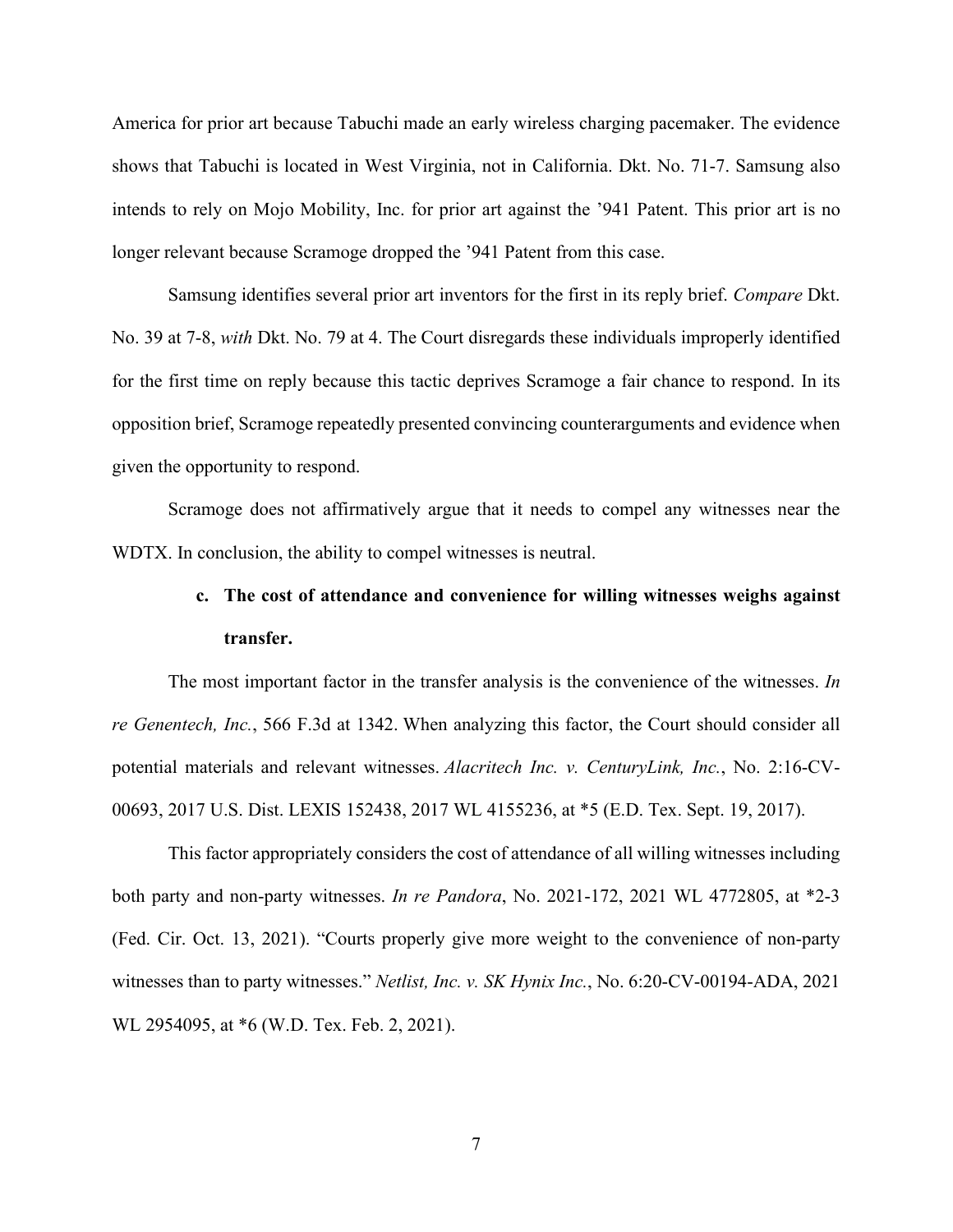America for prior art because Tabuchi made an early wireless charging pacemaker. The evidence shows that Tabuchi is located in West Virginia, not in California. Dkt. No. 71-7. Samsung also intends to rely on Mojo Mobility, Inc. for prior art against the '941 Patent. This prior art is no longer relevant because Scramoge dropped the '941 Patent from this case.

Samsung identifies several prior art inventors for the first in its reply brief. *Compare* Dkt. No. 39 at 7-8, *with* Dkt. No. 79 at 4. The Court disregards these individuals improperly identified for the first time on reply because this tactic deprives Scramoge a fair chance to respond. In its opposition brief, Scramoge repeatedly presented convincing counterarguments and evidence when given the opportunity to respond.

Scramoge does not affirmatively argue that it needs to compel any witnesses near the WDTX. In conclusion, the ability to compel witnesses is neutral.

# **c. The cost of attendance and convenience for willing witnesses weighs against transfer.**

The most important factor in the transfer analysis is the convenience of the witnesses. *In re Genentech, Inc.*, 566 F.3d at 1342. When analyzing this factor, the Court should consider all potential materials and relevant witnesses. *Alacritech Inc. v. CenturyLink, Inc.*, No. 2:16-CV-00693, 2017 U.S. Dist. LEXIS 152438, 2017 WL 4155236, at \*5 (E.D. Tex. Sept. 19, 2017).

This factor appropriately considers the cost of attendance of all willing witnesses including both party and non-party witnesses. *In re Pandora*, No. 2021-172, 2021 WL 4772805, at \*2-3 (Fed. Cir. Oct. 13, 2021). "Courts properly give more weight to the convenience of non-party witnesses than to party witnesses." *Netlist, Inc. v. SK Hynix Inc.*, No. 6:20-CV-00194-ADA, 2021 WL 2954095, at \*6 (W.D. Tex. Feb. 2, 2021).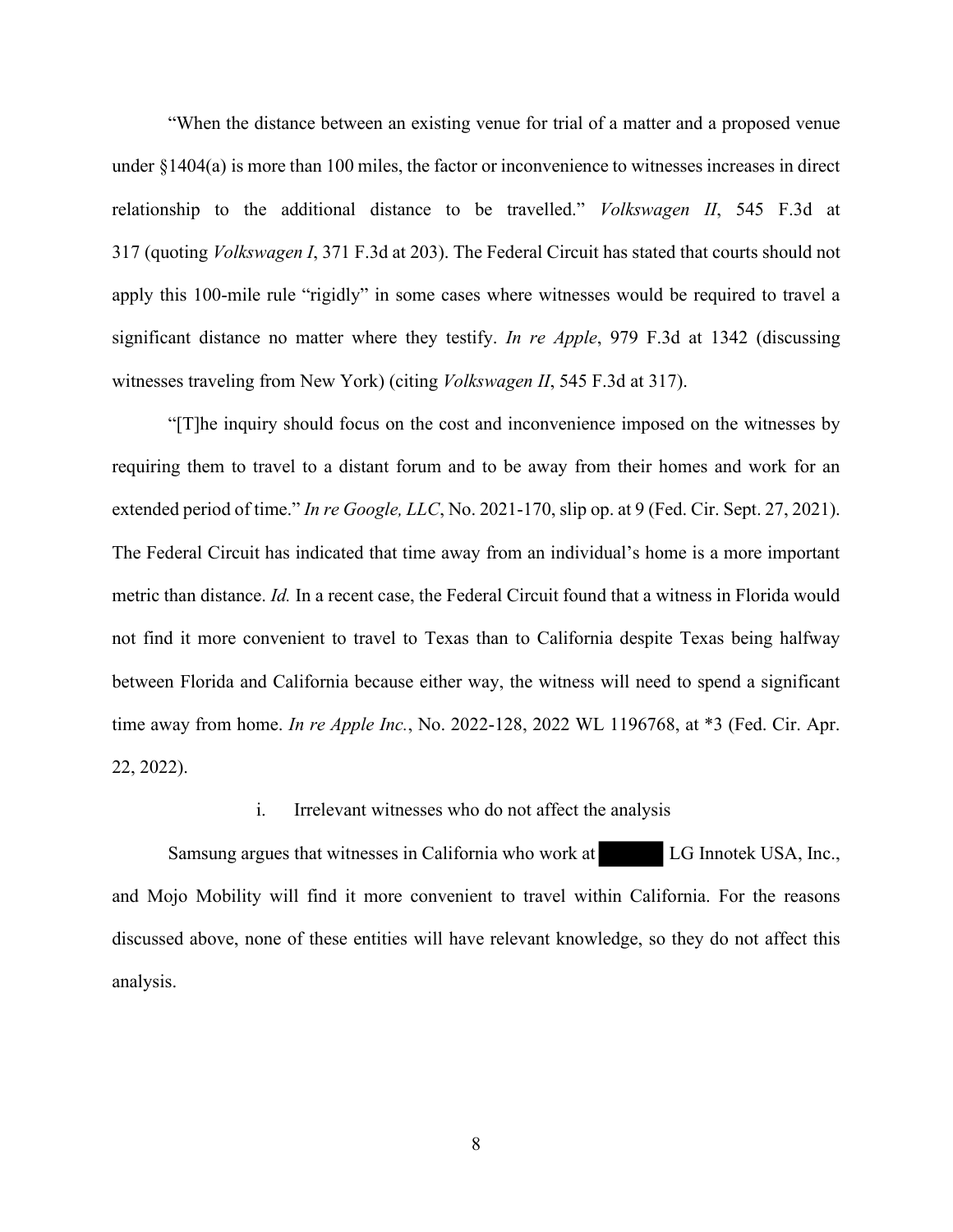"When the distance between an existing venue for trial of a matter and a proposed venue under §1404(a) is more than 100 miles, the factor or inconvenience to witnesses increases in direct relationship to the additional distance to be travelled." *Volkswagen II*, 545 F.3d at 317 (quoting *Volkswagen I*, 371 F.3d at 203). The Federal Circuit has stated that courts should not apply this 100-mile rule "rigidly" in some cases where witnesses would be required to travel a significant distance no matter where they testify. *In re Apple*, 979 F.3d at 1342 (discussing witnesses traveling from New York) (citing *Volkswagen II*, 545 F.3d at 317).

"[T]he inquiry should focus on the cost and inconvenience imposed on the witnesses by requiring them to travel to a distant forum and to be away from their homes and work for an extended period of time." *In re Google, LLC*, No. 2021-170, slip op. at 9 (Fed. Cir. Sept. 27, 2021). The Federal Circuit has indicated that time away from an individual's home is a more important metric than distance. *Id.* In a recent case, the Federal Circuit found that a witness in Florida would not find it more convenient to travel to Texas than to California despite Texas being halfway between Florida and California because either way, the witness will need to spend a significant time away from home. *In re Apple Inc.*, No. 2022-128, 2022 WL 1196768, at \*3 (Fed. Cir. Apr. 22, 2022).

### i. Irrelevant witnesses who do not affect the analysis

Samsung argues that witnesses in California who work at LG Innotek USA, Inc., and Mojo Mobility will find it more convenient to travel within California. For the reasons discussed above, none of these entities will have relevant knowledge, so they do not affect this analysis.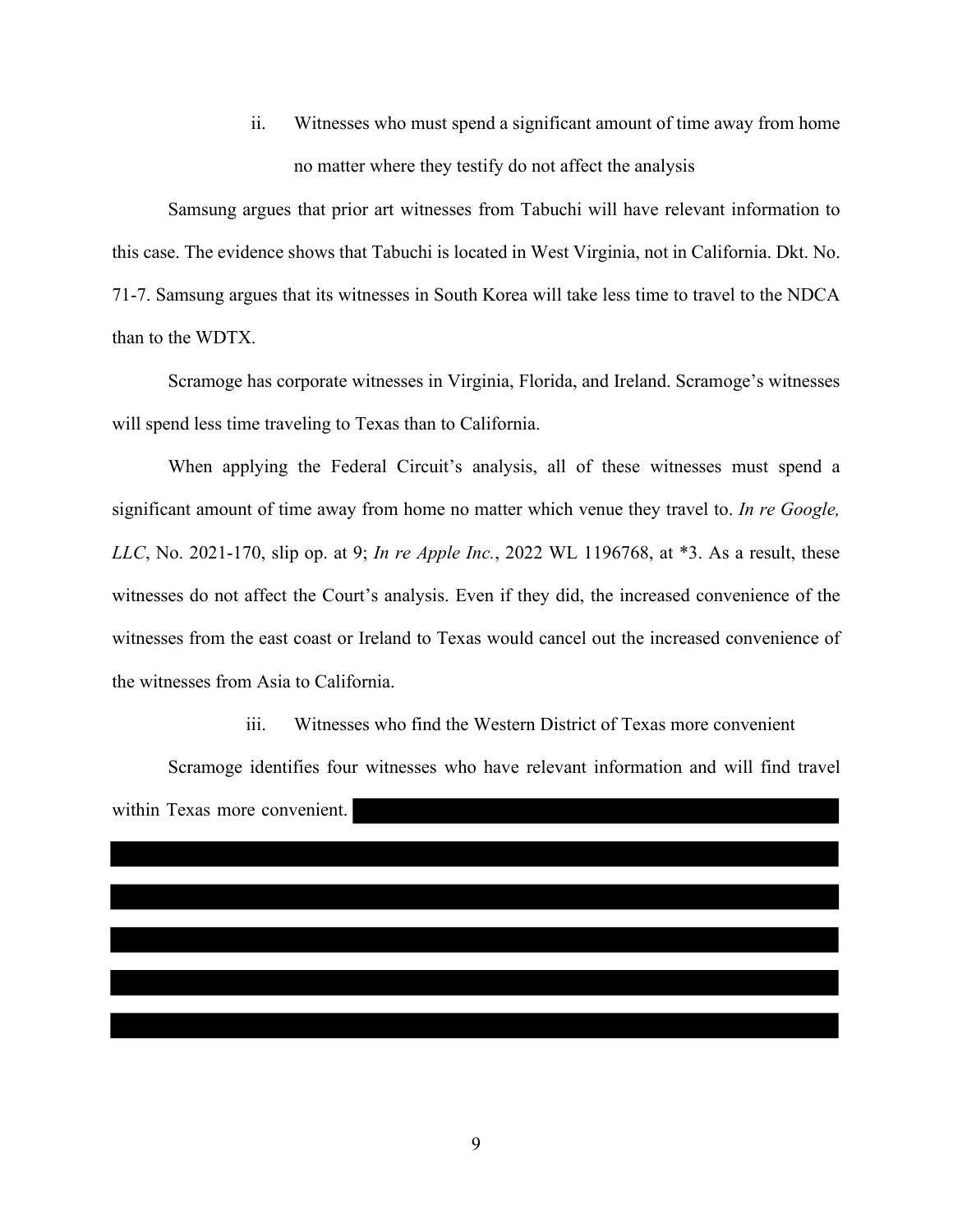ii. Witnesses who must spend a significant amount of time away from home no matter where they testify do not affect the analysis

Samsung argues that prior art witnesses from Tabuchi will have relevant information to this case. The evidence shows that Tabuchi is located in West Virginia, not in California. Dkt. No. 71-7. Samsung argues that its witnesses in South Korea will take less time to travel to the NDCA than to the WDTX.

Scramoge has corporate witnesses in Virginia, Florida, and Ireland. Scramoge's witnesses will spend less time traveling to Texas than to California.

When applying the Federal Circuit's analysis, all of these witnesses must spend a significant amount of time away from home no matter which venue they travel to. *In re Google, LLC*, No. 2021-170, slip op. at 9; *In re Apple Inc.*, 2022 WL 1196768, at \*3. As a result, these witnesses do not affect the Court's analysis. Even if they did, the increased convenience of the witnesses from the east coast or Ireland to Texas would cancel out the increased convenience of the witnesses from Asia to California.

iii. Witnesses who find the Western District of Texas more convenient

Scramoge identifies four witnesses who have relevant information and will find travel within Texas more convenient.

9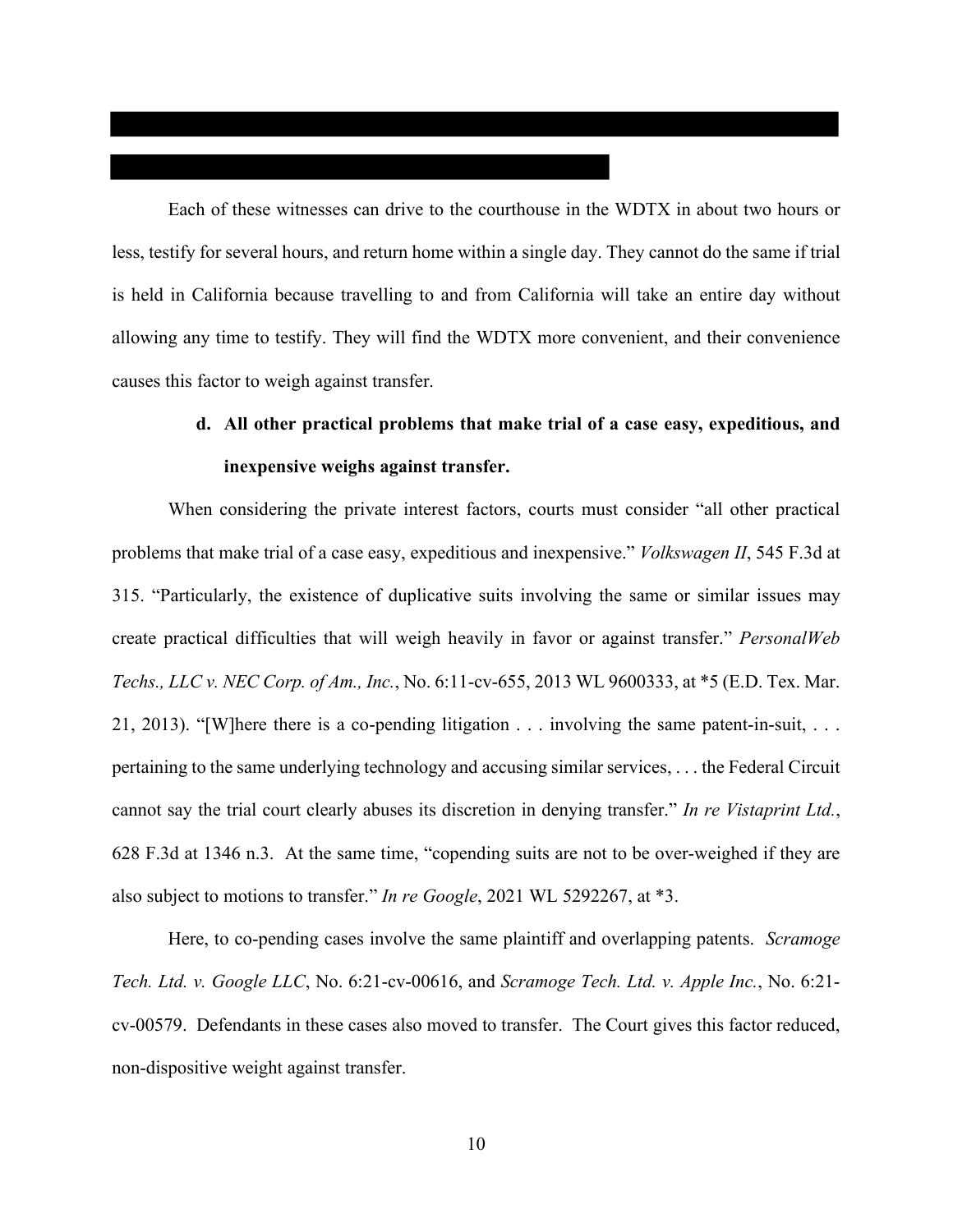Each of these witnesses can drive to the courthouse in the WDTX in about two hours or less, testify for several hours, and return home within a single day. They cannot do the same if trial is held in California because travelling to and from California will take an entire day without allowing any time to testify. They will find the WDTX more convenient, and their convenience causes this factor to weigh against transfer.

# **d. All other practical problems that make trial of a case easy, expeditious, and inexpensive weighs against transfer.**

When considering the private interest factors, courts must consider "all other practical problems that make trial of a case easy, expeditious and inexpensive." *Volkswagen II*, 545 F.3d at 315. "Particularly, the existence of duplicative suits involving the same or similar issues may create practical difficulties that will weigh heavily in favor or against transfer." *PersonalWeb Techs., LLC v. NEC Corp. of Am., Inc.*, No. 6:11-cv-655, 2013 WL 9600333, at \*5 (E.D. Tex. Mar. 21, 2013). "[W]here there is a co-pending litigation . . . involving the same patent-in-suit, . . . pertaining to the same underlying technology and accusing similar services, . . . the Federal Circuit cannot say the trial court clearly abuses its discretion in denying transfer." *In re Vistaprint Ltd.*, 628 F.3d at 1346 n.3. At the same time, "copending suits are not to be over-weighed if they are also subject to motions to transfer." *In re Google*, 2021 WL 5292267, at \*3.

Here, to co-pending cases involve the same plaintiff and overlapping patents. *Scramoge Tech. Ltd. v. Google LLC*, No. 6:21-cv-00616, and *Scramoge Tech. Ltd. v. Apple Inc.*, No. 6:21 cv-00579. Defendants in these cases also moved to transfer. The Court gives this factor reduced, non-dispositive weight against transfer.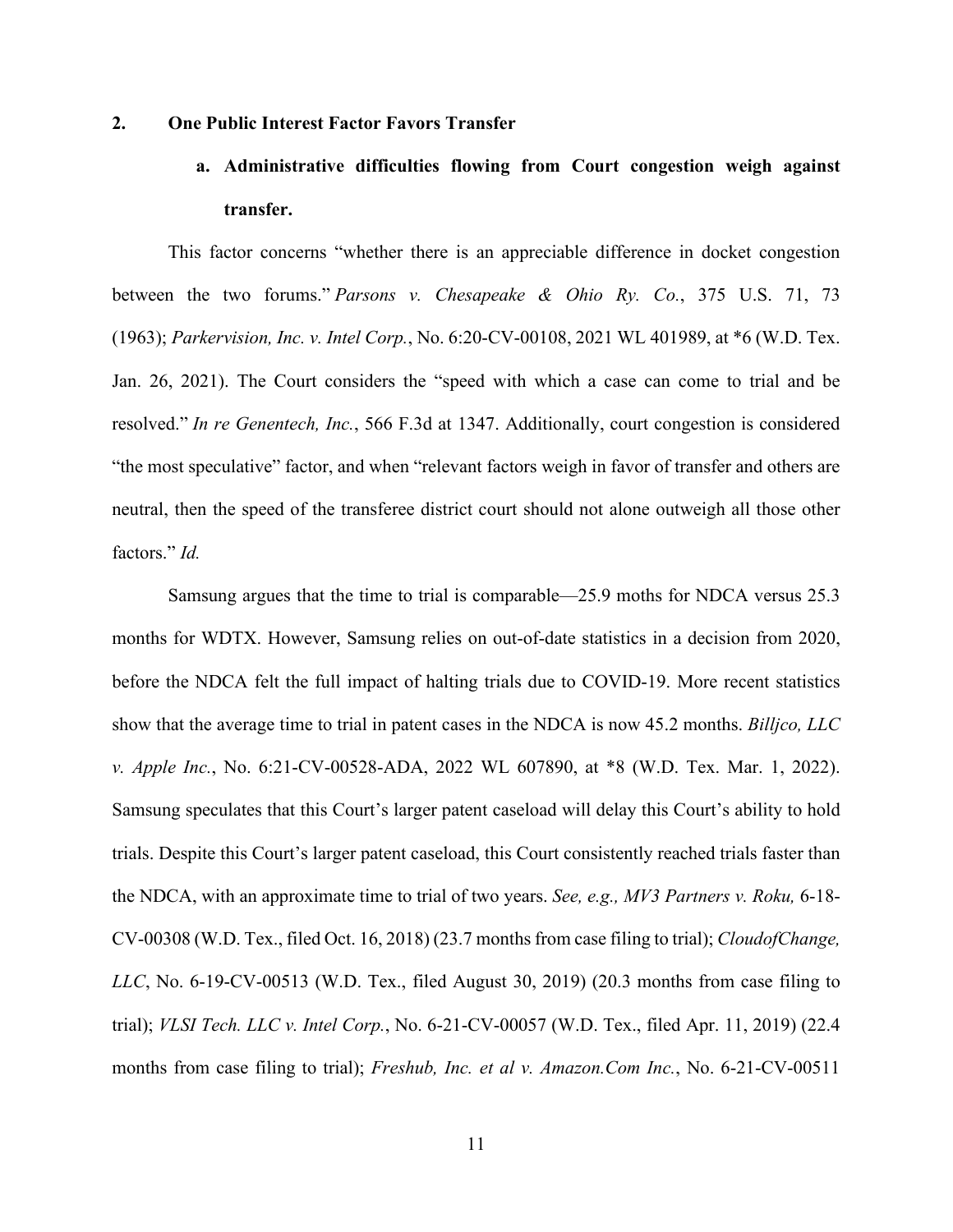### **2. One Public Interest Factor Favors Transfer**

# **a. Administrative difficulties flowing from Court congestion weigh against transfer.**

This factor concerns "whether there is an appreciable difference in docket congestion between the two forums." *Parsons v. Chesapeake & Ohio Ry. Co.*, 375 U.S. 71, 73 (1963); *Parkervision, Inc. v. Intel Corp.*, No. 6:20-CV-00108, 2021 WL 401989, at \*6 (W.D. Tex. Jan. 26, 2021). The Court considers the "speed with which a case can come to trial and be resolved." *In re Genentech, Inc.*, 566 F.3d at 1347. Additionally, court congestion is considered "the most speculative" factor, and when "relevant factors weigh in favor of transfer and others are neutral, then the speed of the transferee district court should not alone outweigh all those other factors." *Id.* 

Samsung argues that the time to trial is comparable—25.9 moths for NDCA versus 25.3 months for WDTX. However, Samsung relies on out-of-date statistics in a decision from 2020, before the NDCA felt the full impact of halting trials due to COVID-19. More recent statistics show that the average time to trial in patent cases in the NDCA is now 45.2 months. *Billjco, LLC v. Apple Inc.*, No. 6:21-CV-00528-ADA, 2022 WL 607890, at \*8 (W.D. Tex. Mar. 1, 2022). Samsung speculates that this Court's larger patent caseload will delay this Court's ability to hold trials. Despite this Court's larger patent caseload, this Court consistently reached trials faster than the NDCA, with an approximate time to trial of two years. *See, e.g., MV3 Partners v. Roku,* 6-18- CV-00308 (W.D. Tex., filed Oct. 16, 2018) (23.7 months from case filing to trial); *CloudofChange, LLC*, No. 6-19-CV-00513 (W.D. Tex., filed August 30, 2019) (20.3 months from case filing to trial); *VLSI Tech. LLC v. Intel Corp.*, No. 6-21-CV-00057 (W.D. Tex., filed Apr. 11, 2019) (22.4 months from case filing to trial); *Freshub, Inc. et al v. Amazon.Com Inc.*, No. 6-21-CV-00511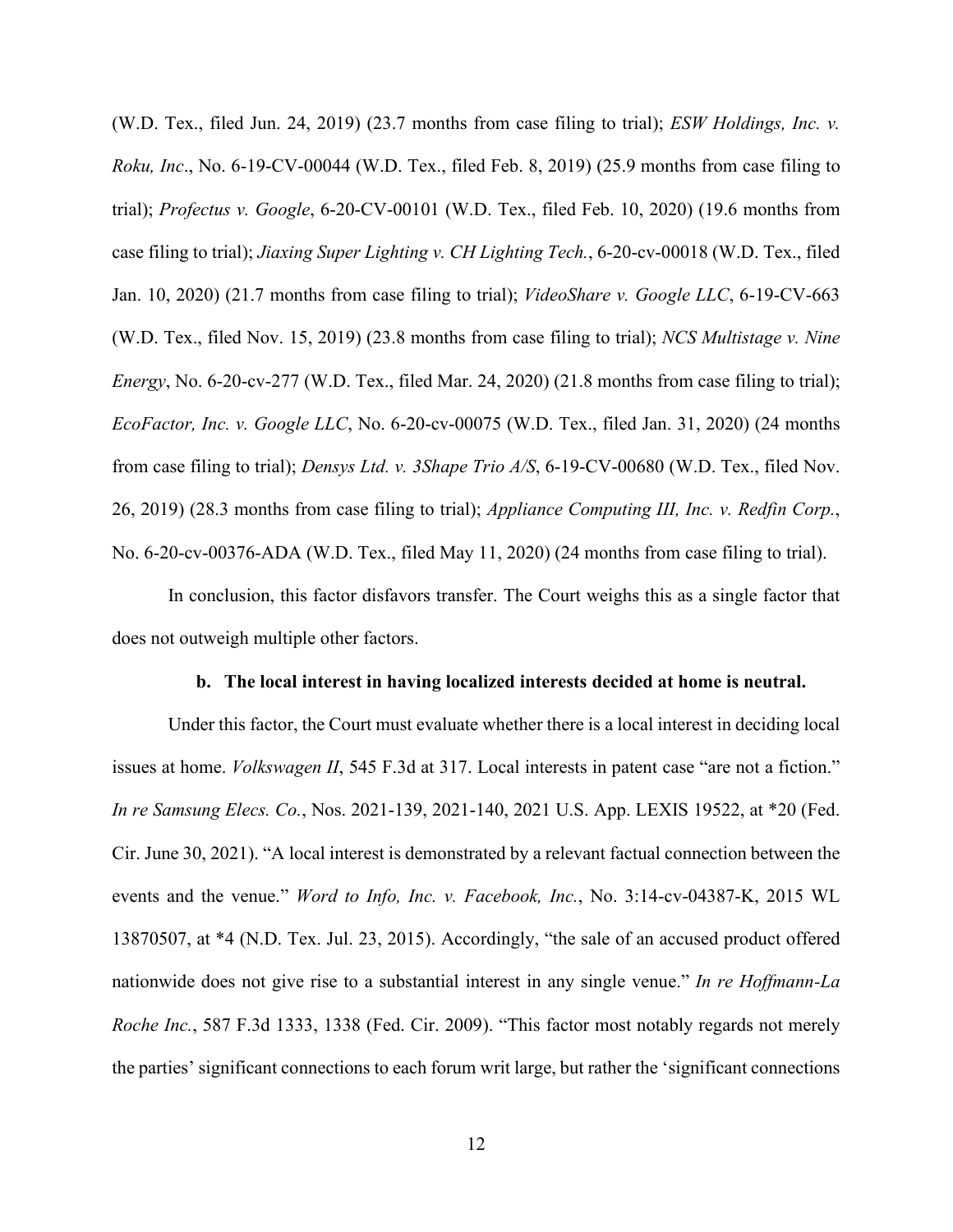(W.D. Tex., filed Jun. 24, 2019) (23.7 months from case filing to trial); *ESW Holdings, Inc. v. Roku, Inc*., No. 6-19-CV-00044 (W.D. Tex., filed Feb. 8, 2019) (25.9 months from case filing to trial); *Profectus v. Google*, 6-20-CV-00101 (W.D. Tex., filed Feb. 10, 2020) (19.6 months from case filing to trial); *Jiaxing Super Lighting v. CH Lighting Tech.*, 6-20-cv-00018 (W.D. Tex., filed Jan. 10, 2020) (21.7 months from case filing to trial); *VideoShare v. Google LLC*, 6-19-CV-663 (W.D. Tex., filed Nov. 15, 2019) (23.8 months from case filing to trial); *NCS Multistage v. Nine Energy*, No. 6-20-cv-277 (W.D. Tex., filed Mar. 24, 2020) (21.8 months from case filing to trial); *EcoFactor, Inc. v. Google LLC*, No. 6-20-cv-00075 (W.D. Tex., filed Jan. 31, 2020) (24 months from case filing to trial); *Densys Ltd. v. 3Shape Trio A/S*, 6-19-CV-00680 (W.D. Tex., filed Nov. 26, 2019) (28.3 months from case filing to trial); *Appliance Computing III, Inc. v. Redfin Corp.*, No. 6-20-cv-00376-ADA (W.D. Tex., filed May 11, 2020) (24 months from case filing to trial).

In conclusion, this factor disfavors transfer. The Court weighs this as a single factor that does not outweigh multiple other factors.

### **b. The local interest in having localized interests decided at home is neutral.**

Under this factor, the Court must evaluate whether there is a local interest in deciding local issues at home. *Volkswagen II*, 545 F.3d at 317. Local interests in patent case "are not a fiction." *In re Samsung Elecs. Co.*, Nos. 2021-139, 2021-140, 2021 U.S. App. LEXIS 19522, at \*20 (Fed. Cir. June 30, 2021). "A local interest is demonstrated by a relevant factual connection between the events and the venue." *Word to Info, Inc. v. Facebook, Inc.*, No. 3:14-cv-04387-K, 2015 WL 13870507, at \*4 (N.D. Tex. Jul. 23, 2015). Accordingly, "the sale of an accused product offered nationwide does not give rise to a substantial interest in any single venue." *In re Hoffmann-La Roche Inc.*, 587 F.3d 1333, 1338 (Fed. Cir. 2009). "This factor most notably regards not merely the parties' significant connections to each forum writ large, but rather the 'significant connections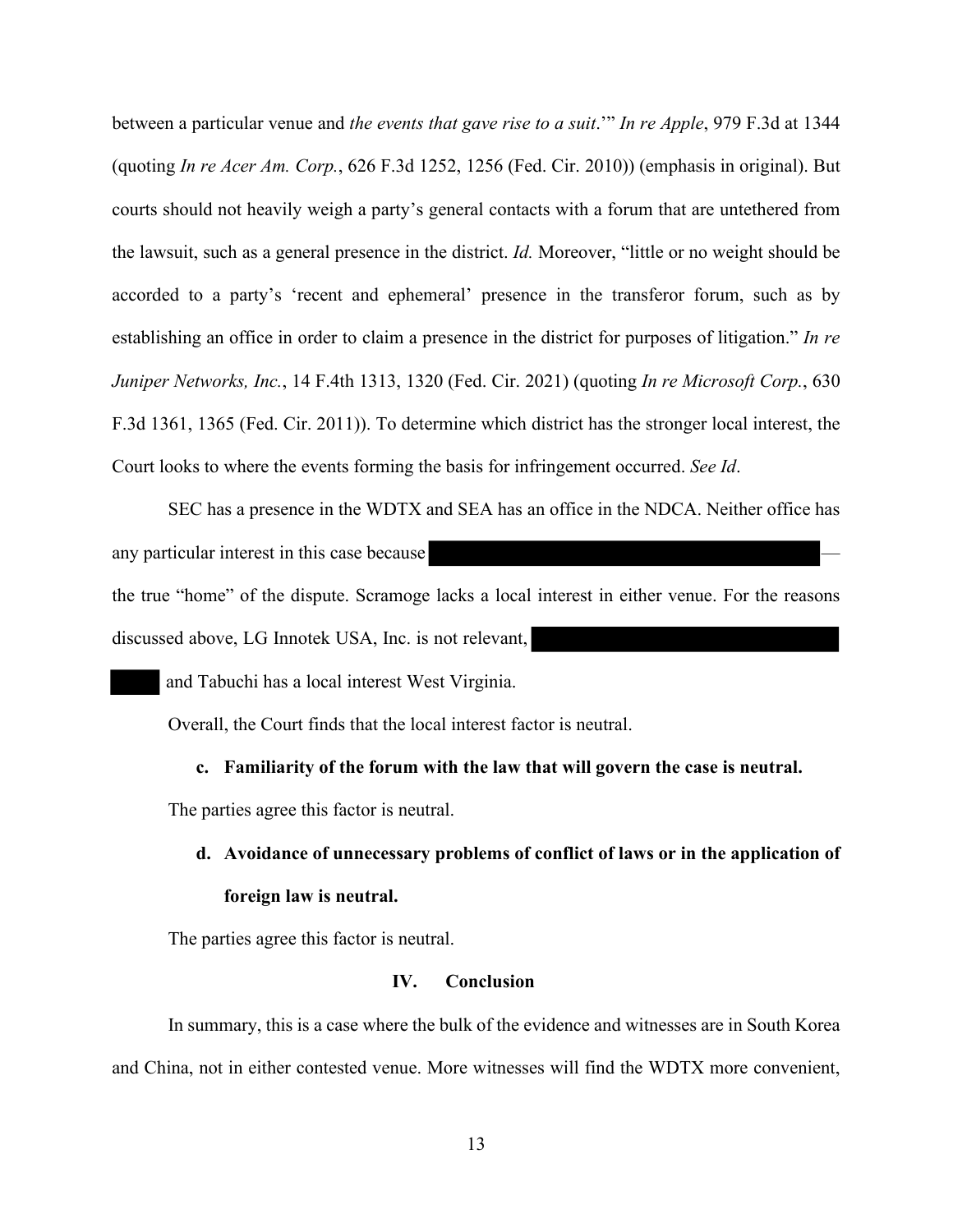between a particular venue and *the events that gave rise to a suit*.'" *In re Apple*, 979 F.3d at 1344 (quoting *In re Acer Am. Corp.*, 626 F.3d 1252, 1256 (Fed. Cir. 2010)) (emphasis in original). But courts should not heavily weigh a party's general contacts with a forum that are untethered from the lawsuit, such as a general presence in the district. *Id.* Moreover, "little or no weight should be accorded to a party's 'recent and ephemeral' presence in the transferor forum, such as by establishing an office in order to claim a presence in the district for purposes of litigation." *In re Juniper Networks, Inc.*, 14 F.4th 1313, 1320 (Fed. Cir. 2021) (quoting *In re Microsoft Corp.*, 630 F.3d 1361, 1365 (Fed. Cir. 2011)). To determine which district has the stronger local interest, the Court looks to where the events forming the basis for infringement occurred. *See Id*.

SEC has a presence in the WDTX and SEA has an office in the NDCA. Neither office has any particular interest in this case because the true "home" of the dispute. Scramoge lacks a local interest in either venue. For the reasons discussed above, LG Innotek USA, Inc. is not relevant,

and Tabuchi has a local interest West Virginia.

Overall, the Court finds that the local interest factor is neutral.

**c. Familiarity of the forum with the law that will govern the case is neutral.**

The parties agree this factor is neutral.

**d. Avoidance of unnecessary problems of conflict of laws or in the application of foreign law is neutral.**

The parties agree this factor is neutral.

### **IV. Conclusion**

In summary, this is a case where the bulk of the evidence and witnesses are in South Korea and China, not in either contested venue. More witnesses will find the WDTX more convenient,